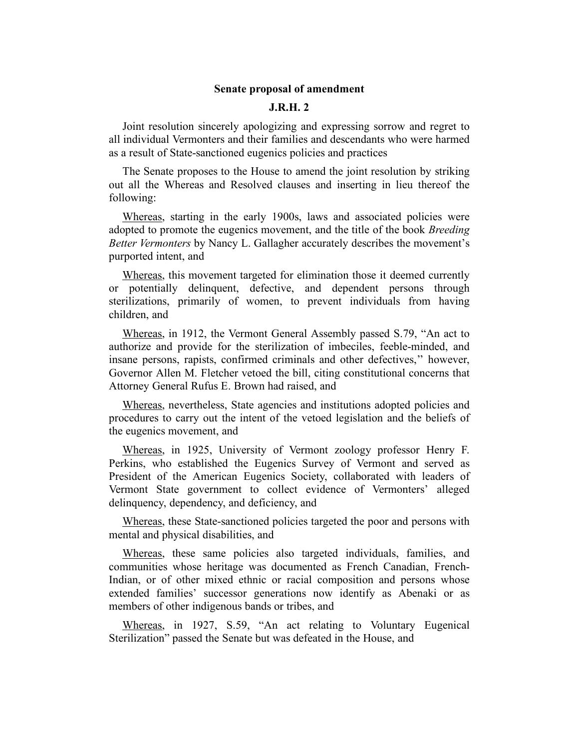## Senate proposal of amendment

## J.R.H. 2

Joint resolution sincerely apologizing and expressing sorrow and regret to all individual Vermonters and their families and descendants who were harmed as a result of State-sanctioned eugenics policies and practices

The Senate proposes to the House to amend the joint resolution by striking out all the Whereas and Resolved clauses and inserting in lieu thereof the following:

Whereas, starting in the early 1900s, laws and associated policies were adopted to promote the eugenics movement, and the title of the book Breeding Better Vermonters by Nancy L. Gallagher accurately describes the movement's purported intent, and

Whereas, this movement targeted for elimination those it deemed currently or potentially delinquent, defective, and dependent persons through sterilizations, primarily of women, to prevent individuals from having children, and

Whereas, in 1912, the Vermont General Assembly passed S.79, "An act to authorize and provide for the sterilization of imbeciles, feeble-minded, and insane persons, rapists, confirmed criminals and other defectives,'' however, Governor Allen M. Fletcher vetoed the bill, citing constitutional concerns that Attorney General Rufus E. Brown had raised, and

Whereas, nevertheless, State agencies and institutions adopted policies and procedures to carry out the intent of the vetoed legislation and the beliefs of the eugenics movement, and

Whereas, in 1925, University of Vermont zoology professor Henry F. Perkins, who established the Eugenics Survey of Vermont and served as President of the American Eugenics Society, collaborated with leaders of Vermont State government to collect evidence of Vermonters' alleged delinquency, dependency, and deficiency, and

Whereas, these State-sanctioned policies targeted the poor and persons with mental and physical disabilities, and

Whereas, these same policies also targeted individuals, families, and communities whose heritage was documented as French Canadian, French-Indian, or of other mixed ethnic or racial composition and persons whose extended families' successor generations now identify as Abenaki or as members of other indigenous bands or tribes, and

Whereas, in 1927, S.59, "An act relating to Voluntary Eugenical Sterilization" passed the Senate but was defeated in the House, and